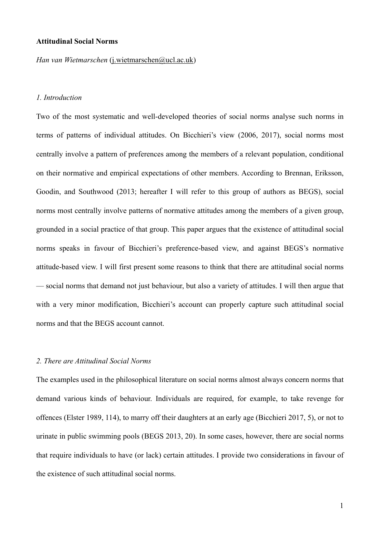#### **Attitudinal Social Norms**

*Han van Wietmarschen* ([j.wietmarschen@ucl.ac.uk](mailto:j.wietmarschen@ucl.ac.uk))

## *1. Introduction*

Two of the most systematic and well-developed theories of social norms analyse such norms in terms of patterns of individual attitudes. On Bicchieri's view (2006, 2017), social norms most centrally involve a pattern of preferences among the members of a relevant population, conditional on their normative and empirical expectations of other members. According to Brennan, Eriksson, Goodin, and Southwood (2013; hereafter I will refer to this group of authors as BEGS), social norms most centrally involve patterns of normative attitudes among the members of a given group, grounded in a social practice of that group. This paper argues that the existence of attitudinal social norms speaks in favour of Bicchieri's preference-based view, and against BEGS's normative attitude-based view. I will first present some reasons to think that there are attitudinal social norms — social norms that demand not just behaviour, but also a variety of attitudes. I will then argue that with a very minor modification, Bicchieri's account can properly capture such attitudinal social norms and that the BEGS account cannot.

## *2. There are Attitudinal Social Norms*

The examples used in the philosophical literature on social norms almost always concern norms that demand various kinds of behaviour. Individuals are required, for example, to take revenge for offences (Elster 1989, 114), to marry off their daughters at an early age (Bicchieri 2017, 5), or not to urinate in public swimming pools (BEGS 2013, 20). In some cases, however, there are social norms that require individuals to have (or lack) certain attitudes. I provide two considerations in favour of the existence of such attitudinal social norms.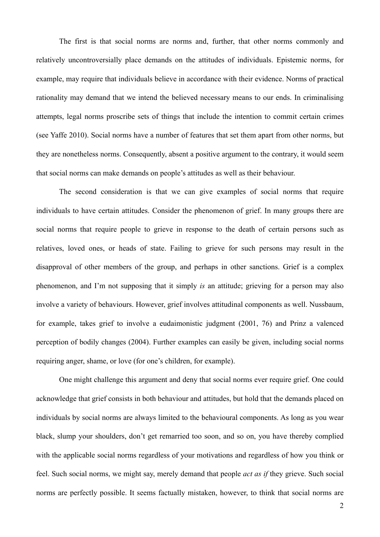The first is that social norms are norms and, further, that other norms commonly and relatively uncontroversially place demands on the attitudes of individuals. Epistemic norms, for example, may require that individuals believe in accordance with their evidence. Norms of practical rationality may demand that we intend the believed necessary means to our ends. In criminalising attempts, legal norms proscribe sets of things that include the intention to commit certain crimes (see Yaffe 2010). Social norms have a number of features that set them apart from other norms, but they are nonetheless norms. Consequently, absent a positive argument to the contrary, it would seem that social norms can make demands on people's attitudes as well as their behaviour.

 The second consideration is that we can give examples of social norms that require individuals to have certain attitudes. Consider the phenomenon of grief. In many groups there are social norms that require people to grieve in response to the death of certain persons such as relatives, loved ones, or heads of state. Failing to grieve for such persons may result in the disapproval of other members of the group, and perhaps in other sanctions. Grief is a complex phenomenon, and I'm not supposing that it simply *is* an attitude; grieving for a person may also involve a variety of behaviours. However, grief involves attitudinal components as well. Nussbaum, for example, takes grief to involve a eudaimonistic judgment (2001, 76) and Prinz a valenced perception of bodily changes (2004). Further examples can easily be given, including social norms requiring anger, shame, or love (for one's children, for example).

 One might challenge this argument and deny that social norms ever require grief. One could acknowledge that grief consists in both behaviour and attitudes, but hold that the demands placed on individuals by social norms are always limited to the behavioural components. As long as you wear black, slump your shoulders, don't get remarried too soon, and so on, you have thereby complied with the applicable social norms regardless of your motivations and regardless of how you think or feel. Such social norms, we might say, merely demand that people *act as if* they grieve. Such social norms are perfectly possible. It seems factually mistaken, however, to think that social norms are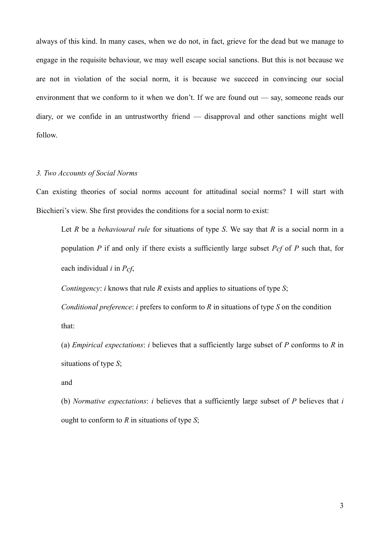always of this kind. In many cases, when we do not, in fact, grieve for the dead but we manage to engage in the requisite behaviour, we may well escape social sanctions. But this is not because we are not in violation of the social norm, it is because we succeed in convincing our social environment that we conform to it when we don't. If we are found out — say, someone reads our diary, or we confide in an untrustworthy friend — disapproval and other sanctions might well follow.

### *3. Two Accounts of Social Norms*

Can existing theories of social norms account for attitudinal social norms? I will start with Bicchieri's view. She first provides the conditions for a social norm to exist:

Let *R* be a *behavioural rule* for situations of type *S*. We say that *R* is a social norm in a population *P* if and only if there exists a sufficiently large subset  $P_{cf}$  of *P* such that, for each individual *i* in *Pcf*,

*Contingency*: *i* knows that rule *R* exists and applies to situations of type *S*;

*Conditional preference*: *i* prefers to conform to *R* in situations of type *S* on the condition that:

(a) *Empirical expectations*: *i* believes that a sufficiently large subset of *P* conforms to *R* in situations of type *S*;

and

(b) *Normative expectations*: *i* believes that a sufficiently large subset of *P* believes that *i* ought to conform to *R* in situations of type *S*;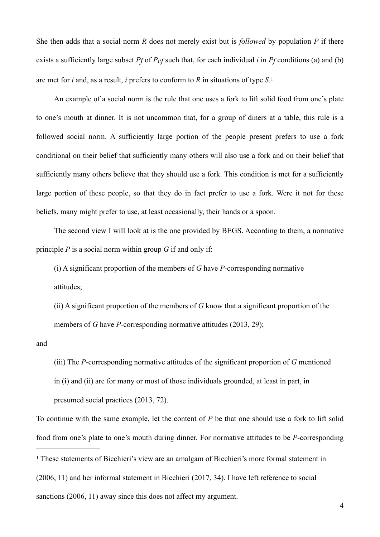She then adds that a social norm *R* does not merely exist but is *followed* by population *P* if there exists a sufficiently large subset *Pf* of *Pcf* such that, for each individual *i* in *Pf* conditions (a) and (b) are met for *i* and, as a result, *i* prefers to conform to *R* in situations of type *S*[.](#page-3-0) [1](#page-3-0)

<span id="page-3-1"></span> An example of a social norm is the rule that one uses a fork to lift solid food from one's plate to one's mouth at dinner. It is not uncommon that, for a group of diners at a table, this rule is a followed social norm. A sufficiently large portion of the people present prefers to use a fork conditional on their belief that sufficiently many others will also use a fork and on their belief that sufficiently many others believe that they should use a fork. This condition is met for a sufficiently large portion of these people, so that they do in fact prefer to use a fork. Were it not for these beliefs, many might prefer to use, at least occasionally, their hands or a spoon.

 The second view I will look at is the one provided by BEGS. According to them, a normative principle *P* is a social norm within group *G* if and only if:

 (i) A significant proportion of the members of *G* have *P*-corresponding normative attitudes;

 (ii) A significant proportion of the members of *G* know that a significant proportion of the members of *G* have *P*-corresponding normative attitudes (2013, 29);

and

 (iii) The *P*-corresponding normative attitudes of the significant proportion of *G* mentioned in (i) and (ii) are for many or most of those individuals grounded, at least in part, in presumed social practices (2013, 72).

To continue with the same example, let the content of *P* be that one should use a fork to lift solid food from one's plate to one's mouth during dinner. For normative attitudes to be *P*-corresponding

<span id="page-3-0"></span><sup>1</sup>These statements of Bicchieri's view are an amalgam of Bicchieri's more formal statement in (2006, 11) and her informal statement in Bicchieri (2017, 34). I have left reference to social sanctions (2006, 11) away since this does not affect my argument.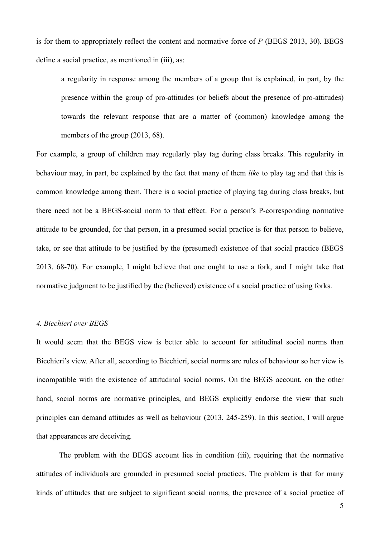is for them to appropriately reflect the content and normative force of *P* (BEGS 2013, 30). BEGS define a social practice, as mentioned in (iii), as:

a regularity in response among the members of a group that is explained, in part, by the presence within the group of pro-attitudes (or beliefs about the presence of pro-attitudes) towards the relevant response that are a matter of (common) knowledge among the members of the group  $(2013, 68)$ .

For example, a group of children may regularly play tag during class breaks. This regularity in behaviour may, in part, be explained by the fact that many of them *like* to play tag and that this is common knowledge among them. There is a social practice of playing tag during class breaks, but there need not be a BEGS-social norm to that effect. For a person's P-corresponding normative attitude to be grounded, for that person, in a presumed social practice is for that person to believe, take, or see that attitude to be justified by the (presumed) existence of that social practice (BEGS 2013, 68-70). For example, I might believe that one ought to use a fork, and I might take that normative judgment to be justified by the (believed) existence of a social practice of using forks.

#### *4. Bicchieri over BEGS*

It would seem that the BEGS view is better able to account for attitudinal social norms than Bicchieri's view. After all, according to Bicchieri, social norms are rules of behaviour so her view is incompatible with the existence of attitudinal social norms. On the BEGS account, on the other hand, social norms are normative principles, and BEGS explicitly endorse the view that such principles can demand attitudes as well as behaviour (2013, 245-259). In this section, I will argue that appearances are deceiving.

 The problem with the BEGS account lies in condition (iii), requiring that the normative attitudes of individuals are grounded in presumed social practices. The problem is that for many kinds of attitudes that are subject to significant social norms, the presence of a social practice of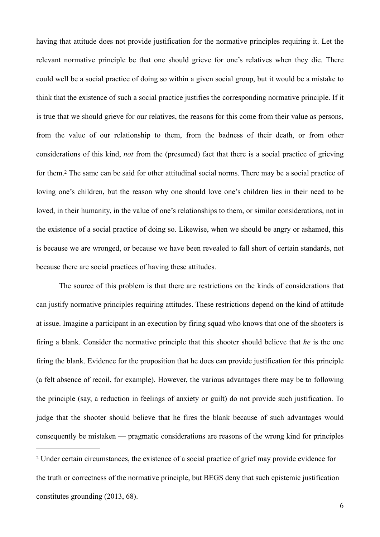having that attitude does not provide justification for the normative principles requiring it. Let the relevant normative principle be that one should grieve for one's relatives when they die. There could well be a social practice of doing so within a given social group, but it would be a mistake to think that the existence of such a social practice justifies the corresponding normative principle. If it is true that we should grieve for our relatives, the reasons for this come from their value as persons, from the value of our relationship to them, from the badness of their death, or from other considerations of this kind, *not* from the (presumed) fact that there is a social practice of grieving forthem.<sup>[2](#page-5-0)</sup> The same can be said for other attitudinal social norms. There may be a social practice of loving one's children, but the reason why one should love one's children lies in their need to be loved, in their humanity, in the value of one's relationships to them, or similar considerations, not in the existence of a social practice of doing so. Likewise, when we should be angry or ashamed, this is because we are wronged, or because we have been revealed to fall short of certain standards, not because there are social practices of having these attitudes.

<span id="page-5-1"></span> The source of this problem is that there are restrictions on the kinds of considerations that can justify normative principles requiring attitudes. These restrictions depend on the kind of attitude at issue. Imagine a participant in an execution by firing squad who knows that one of the shooters is firing a blank. Consider the normative principle that this shooter should believe that *he* is the one firing the blank. Evidence for the proposition that he does can provide justification for this principle (a felt absence of recoil, for example). However, the various advantages there may be to following the principle (say, a reduction in feelings of anxiety or guilt) do not provide such justification. To judge that the shooter should believe that he fires the blank because of such advantages would consequently be mistaken — pragmatic considerations are reasons of the wrong kind for principles

<span id="page-5-0"></span>Under certain circumstances, the existence of a social practice of grief may provide evidence for [2](#page-5-1) the truth or correctness of the normative principle, but BEGS deny that such epistemic justification constitutes grounding (2013, 68).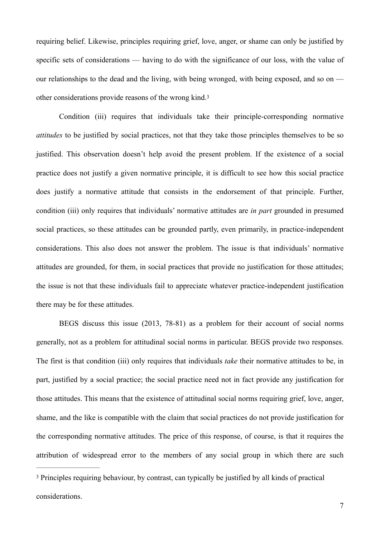requiring belief. Likewise, principles requiring grief, love, anger, or shame can only be justified by specific sets of considerations — having to do with the significance of our loss, with the value of our relationships to the dead and the living, with being wronged, with being exposed, and so on other considerations provide reasons of the wrong kind.[3](#page-6-0)

<span id="page-6-1"></span> Condition (iii) requires that individuals take their principle-corresponding normative *attitudes* to be justified by social practices, not that they take those principles themselves to be so justified. This observation doesn't help avoid the present problem. If the existence of a social practice does not justify a given normative principle, it is difficult to see how this social practice does justify a normative attitude that consists in the endorsement of that principle. Further, condition (iii) only requires that individuals' normative attitudes are *in part* grounded in presumed social practices, so these attitudes can be grounded partly, even primarily, in practice-independent considerations. This also does not answer the problem. The issue is that individuals' normative attitudes are grounded, for them, in social practices that provide no justification for those attitudes; the issue is not that these individuals fail to appreciate whatever practice-independent justification there may be for these attitudes.

 BEGS discuss this issue (2013, 78-81) as a problem for their account of social norms generally, not as a problem for attitudinal social norms in particular. BEGS provide two responses. The first is that condition (iii) only requires that individuals *take* their normative attitudes to be, in part, justified by a social practice; the social practice need not in fact provide any justification for those attitudes. This means that the existence of attitudinal social norms requiring grief, love, anger, shame, and the like is compatible with the claim that social practices do not provide justification for the corresponding normative attitudes. The price of this response, of course, is that it requires the attribution of widespread error to the members of any social group in which there are such

<span id="page-6-0"></span><sup>&</sup>lt;sup>3</sup>Principles requiring behaviour, by contrast, can typically be justified by all kinds of practical considerations.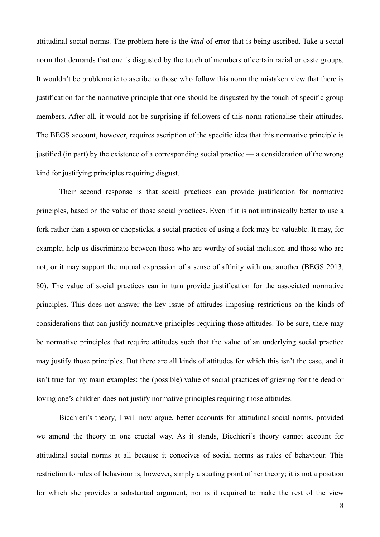attitudinal social norms. The problem here is the *kind* of error that is being ascribed. Take a social norm that demands that one is disgusted by the touch of members of certain racial or caste groups. It wouldn't be problematic to ascribe to those who follow this norm the mistaken view that there is justification for the normative principle that one should be disgusted by the touch of specific group members. After all, it would not be surprising if followers of this norm rationalise their attitudes. The BEGS account, however, requires ascription of the specific idea that this normative principle is justified (in part) by the existence of a corresponding social practice — a consideration of the wrong kind for justifying principles requiring disgust.

 Their second response is that social practices can provide justification for normative principles, based on the value of those social practices. Even if it is not intrinsically better to use a fork rather than a spoon or chopsticks, a social practice of using a fork may be valuable. It may, for example, help us discriminate between those who are worthy of social inclusion and those who are not, or it may support the mutual expression of a sense of affinity with one another (BEGS 2013, 80). The value of social practices can in turn provide justification for the associated normative principles. This does not answer the key issue of attitudes imposing restrictions on the kinds of considerations that can justify normative principles requiring those attitudes. To be sure, there may be normative principles that require attitudes such that the value of an underlying social practice may justify those principles. But there are all kinds of attitudes for which this isn't the case, and it isn't true for my main examples: the (possible) value of social practices of grieving for the dead or loving one's children does not justify normative principles requiring those attitudes.

 Bicchieri's theory, I will now argue, better accounts for attitudinal social norms, provided we amend the theory in one crucial way. As it stands, Bicchieri's theory cannot account for attitudinal social norms at all because it conceives of social norms as rules of behaviour. This restriction to rules of behaviour is, however, simply a starting point of her theory; it is not a position for which she provides a substantial argument, nor is it required to make the rest of the view

8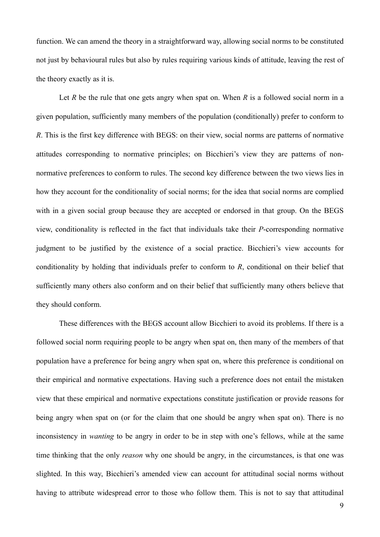function. We can amend the theory in a straightforward way, allowing social norms to be constituted not just by behavioural rules but also by rules requiring various kinds of attitude, leaving the rest of the theory exactly as it is.

Let *R* be the rule that one gets angry when spat on. When *R* is a followed social norm in a given population, sufficiently many members of the population (conditionally) prefer to conform to *R*. This is the first key difference with BEGS: on their view, social norms are patterns of normative attitudes corresponding to normative principles; on Bicchieri's view they are patterns of nonnormative preferences to conform to rules. The second key difference between the two views lies in how they account for the conditionality of social norms; for the idea that social norms are complied with in a given social group because they are accepted or endorsed in that group. On the BEGS view, conditionality is reflected in the fact that individuals take their *P*-corresponding normative judgment to be justified by the existence of a social practice. Bicchieri's view accounts for conditionality by holding that individuals prefer to conform to *R*, conditional on their belief that sufficiently many others also conform and on their belief that sufficiently many others believe that they should conform.

 These differences with the BEGS account allow Bicchieri to avoid its problems. If there is a followed social norm requiring people to be angry when spat on, then many of the members of that population have a preference for being angry when spat on, where this preference is conditional on their empirical and normative expectations. Having such a preference does not entail the mistaken view that these empirical and normative expectations constitute justification or provide reasons for being angry when spat on (or for the claim that one should be angry when spat on). There is no inconsistency in *wanting* to be angry in order to be in step with one's fellows, while at the same time thinking that the only *reason* why one should be angry, in the circumstances, is that one was slighted. In this way, Bicchieri's amended view can account for attitudinal social norms without having to attribute widespread error to those who follow them. This is not to say that attitudinal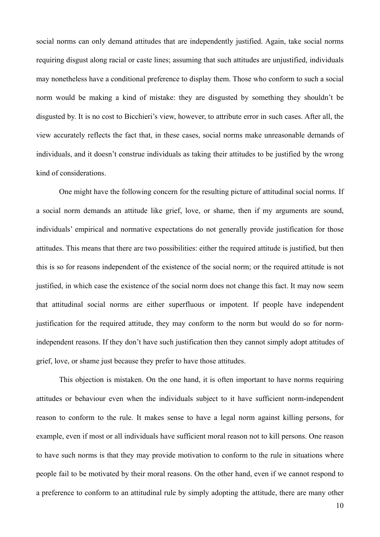social norms can only demand attitudes that are independently justified. Again, take social norms requiring disgust along racial or caste lines; assuming that such attitudes are unjustified, individuals may nonetheless have a conditional preference to display them. Those who conform to such a social norm would be making a kind of mistake: they are disgusted by something they shouldn't be disgusted by. It is no cost to Bicchieri's view, however, to attribute error in such cases. After all, the view accurately reflects the fact that, in these cases, social norms make unreasonable demands of individuals, and it doesn't construe individuals as taking their attitudes to be justified by the wrong kind of considerations.

 One might have the following concern for the resulting picture of attitudinal social norms. If a social norm demands an attitude like grief, love, or shame, then if my arguments are sound, individuals' empirical and normative expectations do not generally provide justification for those attitudes. This means that there are two possibilities: either the required attitude is justified, but then this is so for reasons independent of the existence of the social norm; or the required attitude is not justified, in which case the existence of the social norm does not change this fact. It may now seem that attitudinal social norms are either superfluous or impotent. If people have independent justification for the required attitude, they may conform to the norm but would do so for normindependent reasons. If they don't have such justification then they cannot simply adopt attitudes of grief, love, or shame just because they prefer to have those attitudes.

 This objection is mistaken. On the one hand, it is often important to have norms requiring attitudes or behaviour even when the individuals subject to it have sufficient norm-independent reason to conform to the rule. It makes sense to have a legal norm against killing persons, for example, even if most or all individuals have sufficient moral reason not to kill persons. One reason to have such norms is that they may provide motivation to conform to the rule in situations where people fail to be motivated by their moral reasons. On the other hand, even if we cannot respond to a preference to conform to an attitudinal rule by simply adopting the attitude, there are many other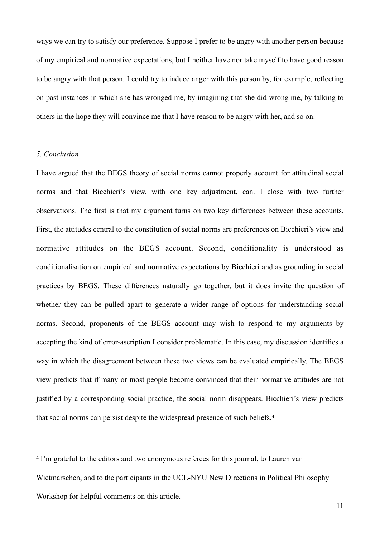ways we can try to satisfy our preference. Suppose I prefer to be angry with another person because of my empirical and normative expectations, but I neither have nor take myself to have good reason to be angry with that person. I could try to induce anger with this person by, for example, reflecting on past instances in which she has wronged me, by imagining that she did wrong me, by talking to others in the hope they will convince me that I have reason to be angry with her, and so on.

## *5. Conclusion*

I have argued that the BEGS theory of social norms cannot properly account for attitudinal social norms and that Bicchieri's view, with one key adjustment, can. I close with two further observations. The first is that my argument turns on two key differences between these accounts. First, the attitudes central to the constitution of social norms are preferences on Bicchieri's view and normative attitudes on the BEGS account. Second, conditionality is understood as conditionalisation on empirical and normative expectations by Bicchieri and as grounding in social practices by BEGS. These differences naturally go together, but it does invite the question of whether they can be pulled apart to generate a wider range of options for understanding social norms. Second, proponents of the BEGS account may wish to respond to my arguments by accepting the kind of error-ascription I consider problematic. In this case, my discussion identifies a way in which the disagreement between these two views can be evaluated empirically. The BEGS view predicts that if many or most people become convinced that their normative attitudes are not justified by a corresponding social practice, the social norm disappears. Bicchieri's view predicts that social norms can persist despite the widespread presence of such beliefs.[4](#page-10-0)

<span id="page-10-1"></span><span id="page-10-0"></span><sup>&</sup>lt;sup>4</sup>I'm grateful to the editors and two anonymous referees for this journal, to Lauren van Wietmarschen, and to the participants in the UCL-NYU New Directions in Political Philosophy Workshop for helpful comments on this article.